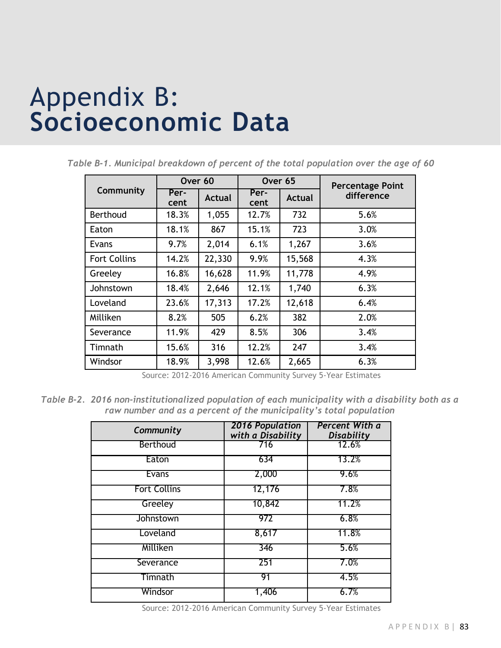## Appendix B: **Socioeconomic Data**

**Community Over 60 Over 65 Percentage Point Per- Per- Per- Per- Per- Per- Per- Per- Per- Per- Per- Per- Per- Per- Per- Per- Per- Per- Per- Per- Per- Per- Per- Per- Per- Per-** Per- Actual Per- Actual difference Actual Actual Berthoud | 18.3% | 1,055 | 12.7% | 732 | 5.6% Eaton | 18.1% | 867 | 15.1% | 723 | 3.0% Evans 9.7% 2,014 6.1% 1,267 3.6% Fort Collins  $\begin{array}{|c|c|c|c|c|c|c|c|c|} \hline 1 & 14.2\% & 22.330 & 9.9\% & 15.568 & 4.3\% \hline \end{array}$ Greeley 16.8% 16,628 11.9% 11,778 4.9% Johnstown | 18.4% | 2,646 | 12.1% | 1,740 | 6.3% Loveland 23.6% 17,313 17.2% 12,618 6.4% Milliken 8.2% 505 6.2% 382 2.0% Severance 1 11.9% 429 8.5% 306 3.4% Timnath | 15.6% | 316 | 12.2% | 247 | 3.4% Windsor | 18.9% | 3,998 | 12.6% | 2,665 6.3%

*Table B-1. Municipal breakdown of percent of the total population over the age of 60* 

Source: 2012-2016 American Community Survey 5-Year Estimates

*Table B-2. 2016 non-institutionalized population of each municipality with a disability both as a raw number and as a percent of the municipality's total population*

| Community           | <b>2016 Population</b><br>with a Disability | Percent With a<br><b>Disability</b> |
|---------------------|---------------------------------------------|-------------------------------------|
| Berthoud            | 716                                         | 12.6%                               |
| Eaton               | 634                                         | 13.2%                               |
| <b>Evans</b>        | 2,000                                       | 9.6%                                |
| <b>Fort Collins</b> | 12,176                                      | 7.8%                                |
| Greeley             | 10,842                                      | 11.2%                               |
| Johnstown           | 972                                         | 6.8%                                |
| Loveland            | 8,617                                       | 11.8%                               |
| Milliken            | 346                                         | 5.6%                                |
| Severance           | 251                                         | 7.0%                                |
| Timnath             | 91                                          | 4.5%                                |
| Windsor             | 1,406                                       | 6.7%                                |

Source: 2012-2016 American Community Survey 5-Year Estimates